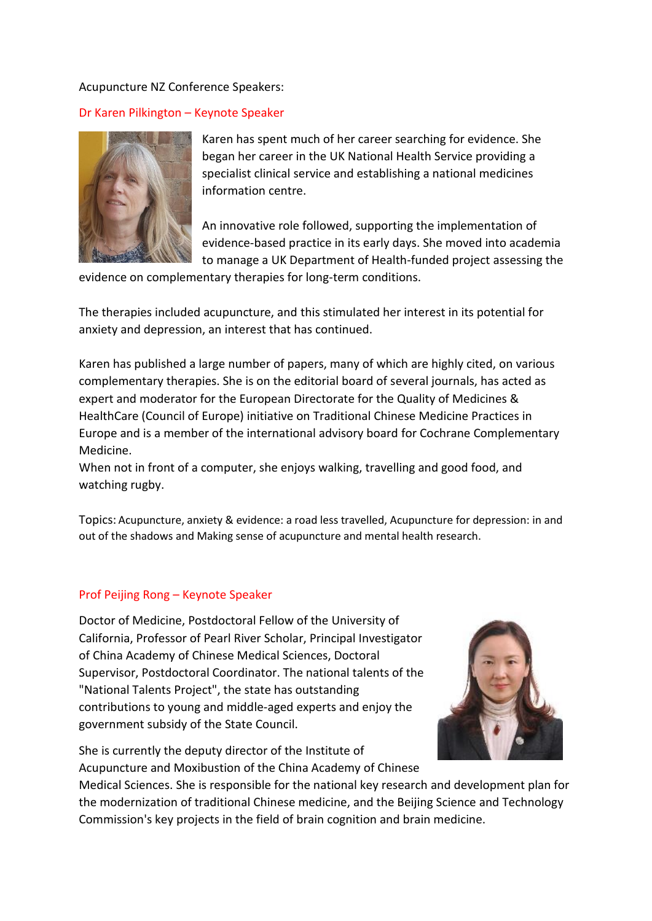### Acupuncture NZ Conference Speakers:

## Dr Karen Pilkington – Keynote Speaker



Karen has spent much of her career searching for evidence. She began her career in the UK National Health Service providing a specialist clinical service and establishing a national medicines information centre.

An innovative role followed, supporting the implementation of evidence-based practice in its early days. She moved into academia to manage a UK Department of Health-funded project assessing the

evidence on complementary therapies for long-term conditions.

The therapies included acupuncture, and this stimulated her interest in its potential for anxiety and depression, an interest that has continued.

Karen has published a large number of papers, many of which are highly cited, on various complementary therapies. She is on the editorial board of several journals, has acted as expert and moderator for the European Directorate for the Quality of Medicines & HealthCare (Council of Europe) initiative on Traditional Chinese Medicine Practices in Europe and is a member of the international advisory board for Cochrane Complementary Medicine.

When not in front of a computer, she enjoys walking, travelling and good food, and watching rugby.

Topics: Acupuncture, anxiety & evidence: a road less travelled, Acupuncture for depression: in and out of the shadows and Making sense of acupuncture and mental health research.

### Prof Peijing Rong – Keynote Speaker

Doctor of Medicine, Postdoctoral Fellow of the University of California, Professor of Pearl River Scholar, Principal Investigator of China Academy of Chinese Medical Sciences, Doctoral Supervisor, Postdoctoral Coordinator. The national talents of the "National Talents Project", the state has outstanding contributions to young and middle-aged experts and enjoy the government subsidy of the State Council.

She is currently the deputy director of the Institute of Acupuncture and Moxibustion of the China Academy of Chinese



Medical Sciences. She is responsible for the national key research and development plan for the modernization of traditional Chinese medicine, and the Beijing Science and Technology Commission's key projects in the field of brain cognition and brain medicine.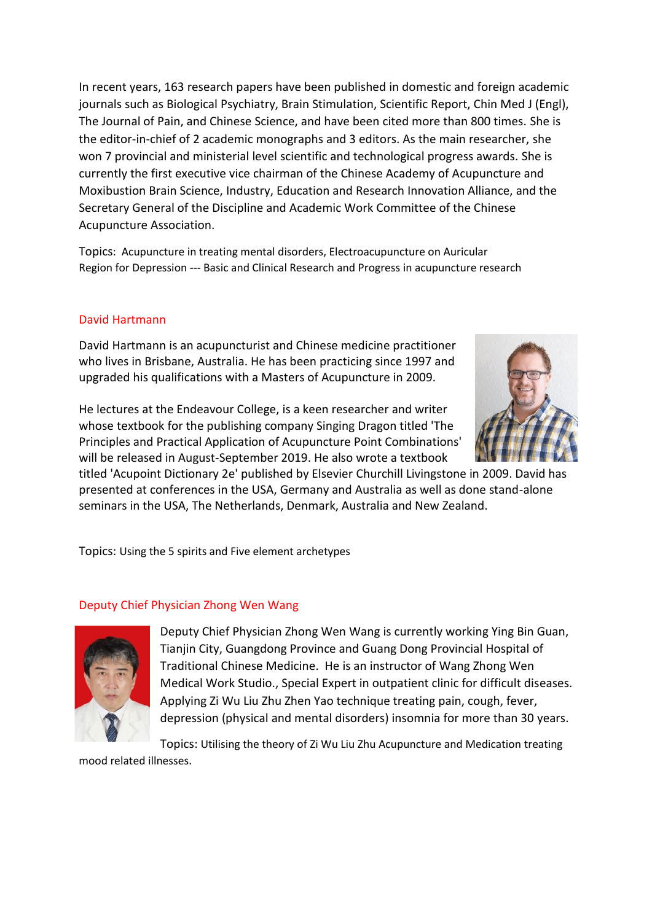In recent years, 163 research papers have been published in domestic and foreign academic journals such as Biological Psychiatry, Brain Stimulation, Scientific Report, Chin Med J (Engl), The Journal of Pain, and Chinese Science, and have been cited more than 800 times. She is the editor-in-chief of 2 academic monographs and 3 editors. As the main researcher, she won 7 provincial and ministerial level scientific and technological progress awards. She is currently the first executive vice chairman of the Chinese Academy of Acupuncture and Moxibustion Brain Science, Industry, Education and Research Innovation Alliance, and the Secretary General of the Discipline and Academic Work Committee of the Chinese Acupuncture Association.

Topics: Acupuncture in treating mental disorders, Electroacupuncture on Auricular Region for Depression --- Basic and Clinical Research and Progress in acupuncture research

# David Hartmann

David Hartmann is an acupuncturist and Chinese medicine practitioner who lives in Brisbane, Australia. He has been practicing since 1997 and upgraded his qualifications with a Masters of Acupuncture in 2009.

He lectures at the Endeavour College, is a keen researcher and writer whose textbook for the publishing company Singing Dragon titled 'The Principles and Practical Application of Acupuncture Point Combinations' will be released in August-September 2019. He also wrote a textbook



titled 'Acupoint Dictionary 2e' published by Elsevier Churchill Livingstone in 2009. David has presented at conferences in the USA, Germany and Australia as well as done stand-alone seminars in the USA, The Netherlands, Denmark, Australia and New Zealand.

Topics: Using the 5 spirits and Five element archetypes

### Deputy Chief Physician Zhong Wen Wang



Deputy Chief Physician Zhong Wen Wang is currently working Ying Bin Guan, Tianjin City, Guangdong Province and Guang Dong Provincial Hospital of Traditional Chinese Medicine. He is an instructor of Wang Zhong Wen Medical Work Studio., Special Expert in outpatient clinic for difficult diseases. Applying Zi Wu Liu Zhu Zhen Yao technique treating pain, cough, fever, depression (physical and mental disorders) insomnia for more than 30 years.

Topics: Utilising the theory of Zi Wu Liu Zhu Acupuncture and Medication treating mood related illnesses.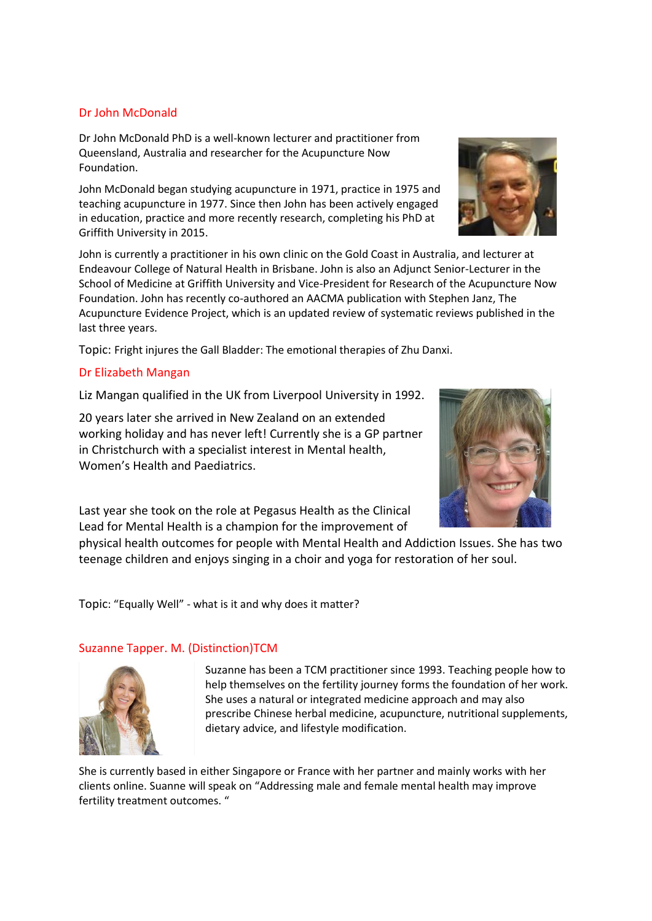#### Dr John McDonald

Dr John McDonald PhD is a well-known lecturer and practitioner from Queensland, Australia and researcher for the Acupuncture Now Foundation.

John McDonald began studying acupuncture in 1971, practice in 1975 and teaching acupuncture in 1977. Since then John has been actively engaged in education, practice and more recently research, completing his PhD at Griffith University in 2015.

John is currently a practitioner in his own clinic on the Gold Coast in Australia, and lecturer at Endeavour College of Natural Health in Brisbane. John is also an Adjunct Senior-Lecturer in the School of Medicine at Griffith University and Vice-President for Research of the Acupuncture Now Foundation. John has recently co-authored an AACMA publication with Stephen Janz, The Acupuncture Evidence Project, which is an updated review of systematic reviews published in the last three years.

Topic: Fright injures the Gall Bladder: The emotional therapies of Zhu Danxi.

### Dr Elizabeth Mangan

Liz Mangan qualified in the UK from Liverpool University in 1992.

20 years later she arrived in New Zealand on an extended working holiday and has never left! Currently she is a GP partner in Christchurch with a specialist interest in Mental health, Women's Health and Paediatrics.

Last year she took on the role at Pegasus Health as the Clinical Lead for Mental Health is a champion for the improvement of

physical health outcomes for people with Mental Health and Addiction Issues. She has two teenage children and enjoys singing in a choir and yoga for restoration of her soul.

Topic: "Equally Well" - what is it and why does it matter?

### Suzanne Tapper. M. (Distinction)TCM

Suzanne has been a TCM practitioner since 1993. Teaching people how to help themselves on the fertility journey forms the foundation of her work. She uses a natural or integrated medicine approach and may also prescribe Chinese herbal medicine, acupuncture, nutritional supplements, dietary advice, and lifestyle modification.

She is currently based in either Singapore or France with her partner and mainly works with her clients online. Suanne will speak on "Addressing male and female mental health may improve fertility treatment outcomes. "





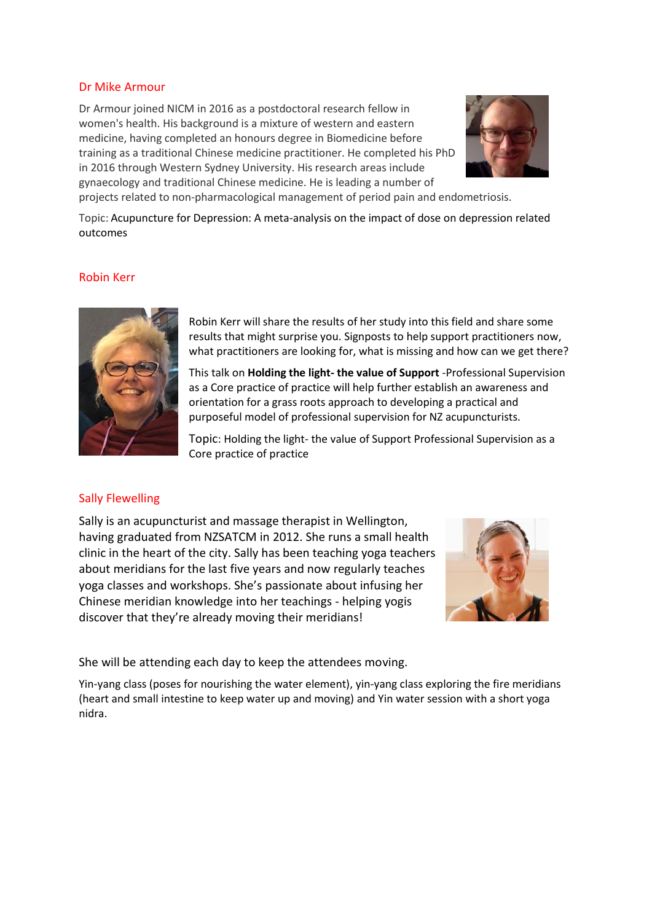#### Dr Mike Armour

Dr Armour joined NICM in 2016 as a postdoctoral research fellow in women's health. His background is a mixture of western and eastern medicine, having completed an honours degree in Biomedicine before training as a traditional Chinese medicine practitioner. He completed his PhD in 2016 through Western Sydney University. His research areas include gynaecology and traditional Chinese medicine. He is leading a number of



projects related to non-pharmacological management of period pain and endometriosis.

Topic: Acupuncture for Depression: A meta-analysis on the impact of dose on depression related outcomes

#### Robin Kerr



Robin Kerr will share the results of her study into this field and share some results that might surprise you. Signposts to help support practitioners now, what practitioners are looking for, what is missing and how can we get there?

This talk on **Holding the light- the value of Support** -Professional Supervision as a Core practice of practice will help further establish an awareness and orientation for a grass roots approach to developing a practical and purposeful model of professional supervision for NZ acupuncturists.

Topic: Holding the light- the value of Support Professional Supervision as a Core practice of practice

#### Sally Flewelling

Sally is an acupuncturist and massage therapist in Wellington, having graduated from NZSATCM in 2012. She runs a small health clinic in the heart of the city. Sally has been teaching yoga teachers about meridians for the last five years and now regularly teaches yoga classes and workshops. She's passionate about infusing her Chinese meridian knowledge into her teachings - helping yogis discover that they're already moving their meridians!



She will be attending each day to keep the attendees moving.

Yin-yang class (poses for nourishing the water element), yin-yang class exploring the fire meridians (heart and small intestine to keep water up and moving) and Yin water session with a short yoga nidra.